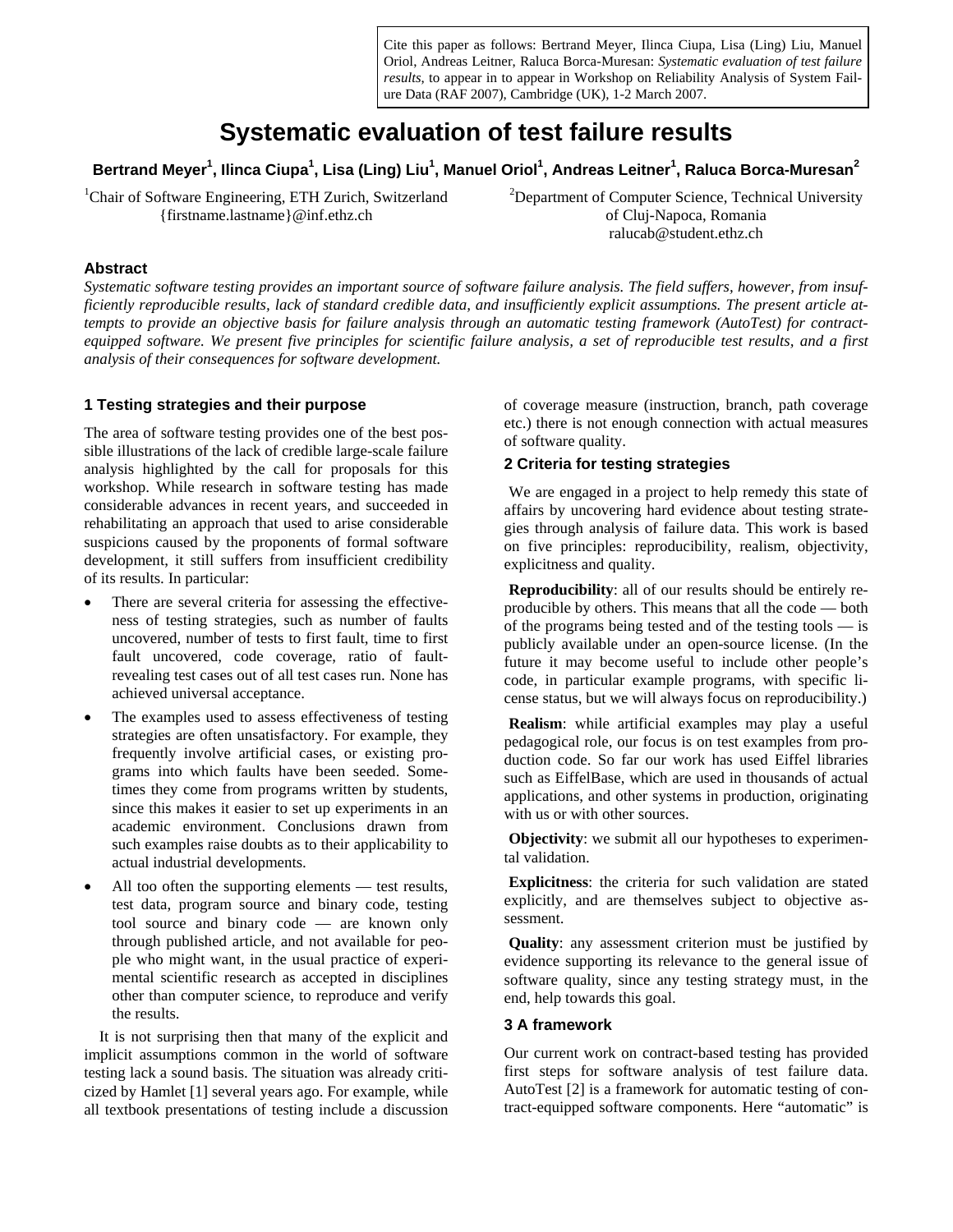Cite this paper as follows: Bertrand Meyer, Ilinca Ciupa, Lisa (Ling) Liu, Manuel Oriol, Andreas Leitner, Raluca Borca-Muresan: *Systematic evaluation of test failure results*, to appear in to appear in Workshop on Reliability Analysis of System Failure Data (RAF 2007), Cambridge (UK), 1-2 March 2007.

# **Systematic evaluation of test failure results**

 $\,$ Bertrand Meyer $\rm ^1$ , Ilinca Ciupa $\rm ^1$ , Lisa (Ling) Liu $\rm ^1$ , Manuel Oriol $\rm ^1$ , Andreas Leitner $\rm ^1$ , Raluca Borca-Muresan $\rm ^2$ 

<sup>1</sup>Chair of Software Engineering, ETH Zurich, Switzerland {firstname.lastname}@inf.ethz.ch

<sup>2</sup>Department of Computer Science, Technical University of Cluj-Napoca, Romania ralucab@student.ethz.ch

#### **Abstract**

*Systematic software testing provides an important source of software failure analysis. The field suffers, however, from insufficiently reproducible results, lack of standard credible data, and insufficiently explicit assumptions. The present article attempts to provide an objective basis for failure analysis through an automatic testing framework (AutoTest) for contractequipped software. We present five principles for scientific failure analysis, a set of reproducible test results, and a first analysis of their consequences for software development.* 

#### **1 Testing strategies and their purpose**

The area of software testing provides one of the best possible illustrations of the lack of credible large-scale failure analysis highlighted by the call for proposals for this workshop. While research in software testing has made considerable advances in recent years, and succeeded in rehabilitating an approach that used to arise considerable suspicions caused by the proponents of formal software development, it still suffers from insufficient credibility of its results. In particular:

- There are several criteria for assessing the effectiveness of testing strategies, such as number of faults uncovered, number of tests to first fault, time to first fault uncovered, code coverage, ratio of faultrevealing test cases out of all test cases run. None has achieved universal acceptance.
- The examples used to assess effectiveness of testing strategies are often unsatisfactory. For example, they frequently involve artificial cases, or existing programs into which faults have been seeded. Sometimes they come from programs written by students, since this makes it easier to set up experiments in an academic environment. Conclusions drawn from such examples raise doubts as to their applicability to actual industrial developments.
- All too often the supporting elements test results, test data, program source and binary code, testing tool source and binary code — are known only through published article, and not available for people who might want, in the usual practice of experimental scientific research as accepted in disciplines other than computer science, to reproduce and verify the results.

It is not surprising then that many of the explicit and implicit assumptions common in the world of software testing lack a sound basis. The situation was already criticized by Hamlet [1] several years ago. For example, while all textbook presentations of testing include a discussion of coverage measure (instruction, branch, path coverage etc.) there is not enough connection with actual measures of software quality.

### **2 Criteria for testing strategies**

We are engaged in a project to help remedy this state of affairs by uncovering hard evidence about testing strategies through analysis of failure data. This work is based on five principles: reproducibility, realism, objectivity, explicitness and quality.

**Reproducibility**: all of our results should be entirely reproducible by others. This means that all the code — both of the programs being tested and of the testing tools — is publicly available under an open-source license. (In the future it may become useful to include other people's code, in particular example programs, with specific license status, but we will always focus on reproducibility.)

**Realism**: while artificial examples may play a useful pedagogical role, our focus is on test examples from production code. So far our work has used Eiffel libraries such as EiffelBase, which are used in thousands of actual applications, and other systems in production, originating with us or with other sources.

**Objectivity**: we submit all our hypotheses to experimental validation.

**Explicitness**: the criteria for such validation are stated explicitly, and are themselves subject to objective assessment.

**Quality**: any assessment criterion must be justified by evidence supporting its relevance to the general issue of software quality, since any testing strategy must, in the end, help towards this goal.

#### **3 A framework**

Our current work on contract-based testing has provided first steps for software analysis of test failure data. AutoTest [2] is a framework for automatic testing of contract-equipped software components. Here "automatic" is